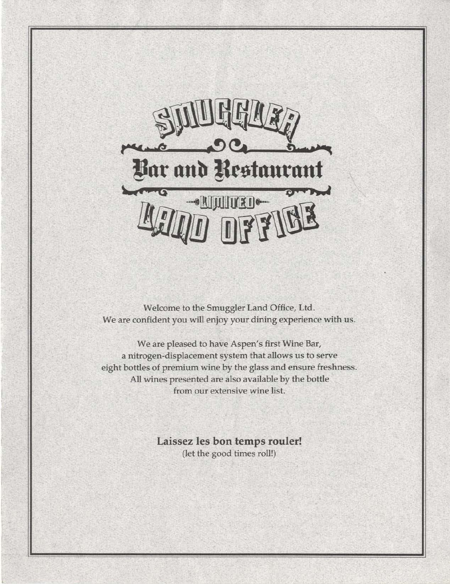

Welcome to the Smuggler Land Office, Ltd. We are confident you will enjoy your dining experience with us.

We are pleased to have Aspen's first Wine Bar, a nitrogen-displacement system that allows us to serve eight bottles of premium wine by the glass and ensure freshness. All wines presented are also available by the bottle from our extensive wine list.

> Laissez les bon temps rouler! (let the good times roll!)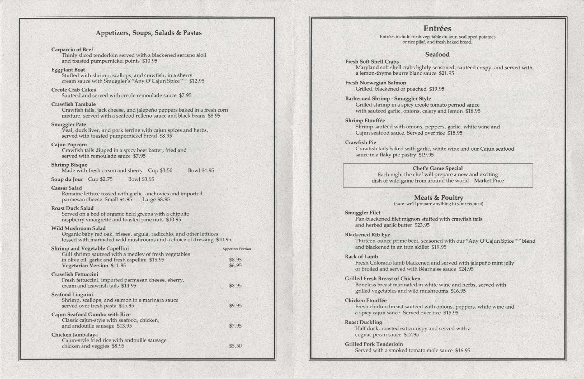# Appetizers, Soups, Salads & Pastas

Thinly sliced tenderloin served with a blackened serrano aioli and toasted pumpernickel points \$10.95

### Carpaccio of Beef

Stuffed with shrimp, scallops, and crawfish, in a sherry cream sauce with Smuggler's "Any O'Cajun Spice™" \$12.95

### Eggplant Boat

### Creole Crab Cakes

Sautéed and served with creole remoulade sauce \$7.95

### Crawfish Tambale

Made with fresh cream and sherry Cup \$3.50 Bowl \$4.95

Soup du Jour Cup \$2.75 Bowl \$3.95

Crawfish tails, jack cheese, and jalepeno peppers baked in a fresh corn mixture, served with a seafood relleno sauce and black beans \$8.95

### Smuggler Pate

Veal, duck liver, and pork terrine with cajun spices and herbs, served with toasted pumpernickel bread \$8.95

Organic baby red oak, frissee, argula, radicchio, and other lettuces tossed with marinated wild mushrooms and a choice of dressing \$10.95

### Cajun Popcorn

Crawfish tails dipped in a spicy beer batter, fried and served with remoulade sauce \$7.95

### Shrimp Bisque

### Caesar Salad

Romaine lettuce tossed with garlic, anchovies and imported parmesan cheese Small \$4.95 Large \$8.95

### Roast Duck Salad

Entrées include fresh vegetable du jour, scalloped potatoes or rice pilaf, and fresh baked bread.

Served on a bed of organic field greens with a chipolte raspberry vinaigrette and toasted pine nuts \$10.95

Maryland soft shell crabs lightly seasoned, sautéed crispy, and served with a lemon-thyme beurre blanc sauce \$21.95

### Wild Mushroom Salad

Shrimp sautéed with onions, peppers, garlic, white wine and Cajun seafood sauce. Served over rice \$18.95

Pan-blackened filet mignon stuffed with crawfish tails and herbed garlic butter \$23.95

Thirteen-ounce prime beef, seasoned with our "Any O'Cajun Spice™" blend and blackened in an iron skillet \$19.95

| Shrimp and Vegetable Capellini<br>Gulf shrimp sauteed with a medley of fresh vegetables                               | <b>Appetizer Portion</b> |
|-----------------------------------------------------------------------------------------------------------------------|--------------------------|
| in olive oil, garlic and fresh capellini \$15.95<br>Vegetarian Version \$11.95                                        | \$8.95<br>\$6.95         |
| <b>Crawfish Fettuccini</b><br>Fresh fettuccini, imported parmesan cheese, sherry,<br>cream and crawfish tails \$14.95 | \$8.95                   |
| Seafood Linguini<br>Shrimp, scallops, and salmon in a marinara sauce<br>served over fresh pasta \$15.95               | \$9.95                   |
| Cajun Seafood Gumbo with Rice<br>Classic cajun-style with seafood, chicken,<br>and andouille sausage \$13.95          | \$7.95                   |
| Chicken Jambalaya<br>Cajun-style fried rice with andouille sausage<br>chicken and veggies \$8.95                      | \$5.50                   |

Fresh Colorado lamb blackened and served with jalapeño mint jelly or broiled and served with Bearnaise sauce \$24.95

Fresh chicken breast sautéed with onions, peppers, white wine and a spicy cajun sauce. Served over rice \$15.95

# Seafood

### Fresh Soft Shell Crabs

### Fresh Norwegian Salmon Grilled, blackened or poached \$19.95

Barbecued Shrimp - Smuggler Style Grilled shrimp in a spicy creole tomato pernod sauce with sauteed garlic, onions, celery and lemon \$18.95

### Shrimp Etouffée

### Crawfish Pie

Crawfish tails baked with garlic, white wine and our Cajun seafood sauce in a flaky pie pastry \$19.95

Chef's Game Special Each night the chef will prepare a new and exciting dish of wild game from around the world Market Price

> Meats & Poultry (sure-we'll prepare anything to your request)

### Smuggler Filet

### Blackened Rib Eye

### Rack of Lamb

# Grilled Fresh Breast of Chicken Boneless breast marinated in white wine and herbs, served with

grilled vegetables and wild mushrooms \$16.95

### **Chicken Etouffée**

### Roast Duckling

Half duck, roasted extra crispy and served with a cognac pecan sauce \$17.95

### Grilled Pork Tenderloin

Served with a smoked tomato mole sauce \$16.95

# Entrées